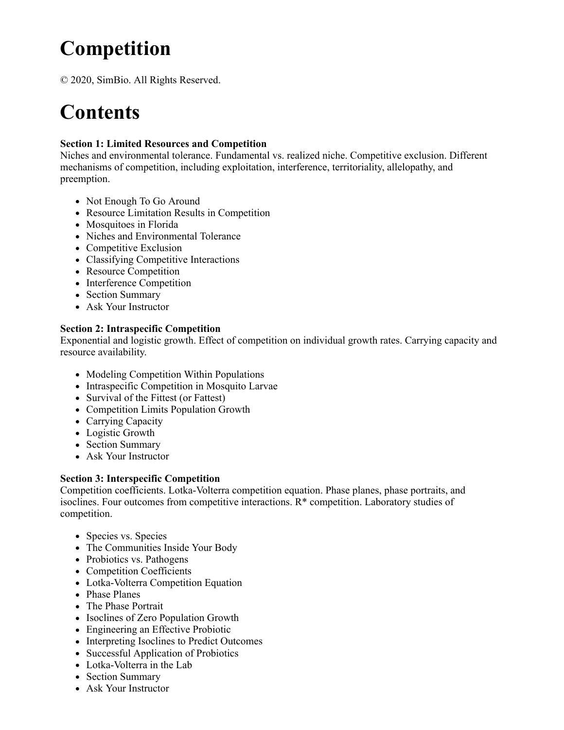# **Competition**

© 2020, SimBio. All Rights Reserved.

## **Contents**

#### **Section 1: Limited Resources and Competition**

Niches and environmental tolerance. Fundamental vs. realized niche. Competitive exclusion. Different mechanisms of competition, including exploitation, interference, territoriality, allelopathy, and preemption.

- Not Enough To Go Around
- Resource Limitation Results in Competition
- Mosquitoes in Florida
- Niches and Environmental Tolerance
- Competitive Exclusion
- Classifying Competitive Interactions
- Resource Competition
- Interference Competition
- Section Summary
- Ask Your Instructor

#### **Section 2: Intraspecific Competition**

Exponential and logistic growth. Effect of competition on individual growth rates. Carrying capacity and resource availability.

- Modeling Competition Within Populations
- Intraspecific Competition in Mosquito Larvae
- Survival of the Fittest (or Fattest)
- Competition Limits Population Growth
- Carrying Capacity
- Logistic Growth
- Section Summary
- Ask Your Instructor

### **Section 3: Interspecific Competition**

Competition coefficients. Lotka-Volterra competition equation. Phase planes, phase portraits, and isoclines. Four outcomes from competitive interactions. R\* competition. Laboratory studies of competition.

- Species vs. Species
- The Communities Inside Your Body
- Probiotics vs. Pathogens
- Competition Coefficients
- Lotka-Volterra Competition Equation
- Phase Planes
- The Phase Portrait
- Isoclines of Zero Population Growth
- Engineering an Effective Probiotic
- Interpreting Isoclines to Predict Outcomes
- Successful Application of Probiotics
- Lotka-Volterra in the Lab
- Section Summary
- Ask Your Instructor